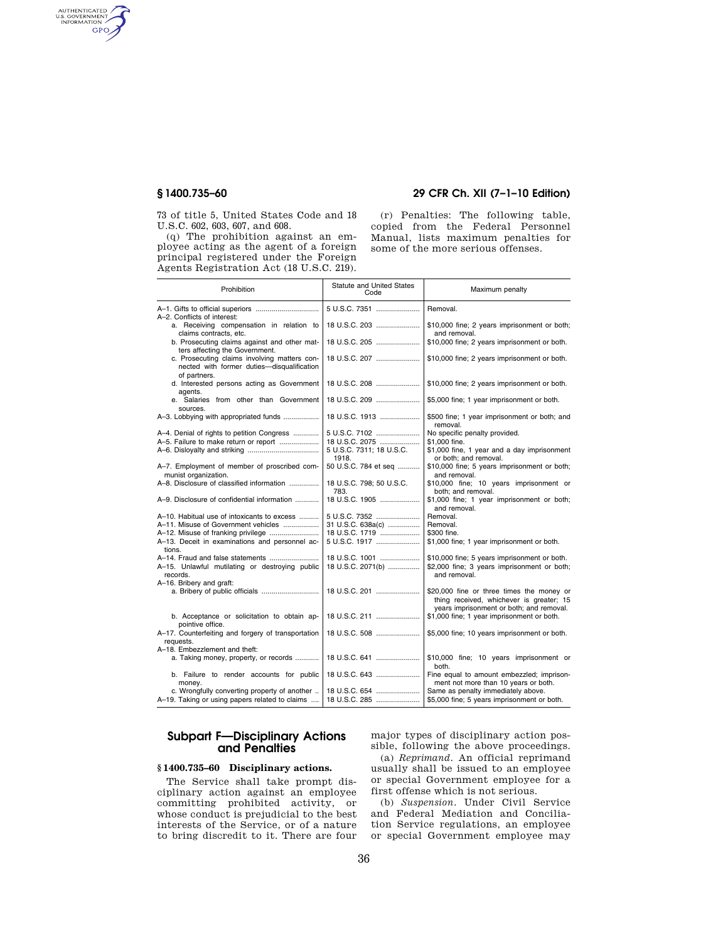AUTHENTICATED<br>U.S. GOVERNMENT<br>INFORMATION **GPO** 

> 73 of title 5, United States Code and 18 U.S.C. 602, 603, 607, and 608.

(q) The prohibition against an employee acting as the agent of a foreign principal registered under the Foreign Agents Registration Act (18 U.S.C. 219).

# **§ 1400.735–60 29 CFR Ch. XII (7–1–10 Edition)**

(r) Penalties: The following table, copied from the Federal Personnel Manual, lists maximum penalties for some of the more serious offenses.

| Prohibition                                                                                                | <b>Statute and United States</b><br>Code | Maximum penalty                                                                        |
|------------------------------------------------------------------------------------------------------------|------------------------------------------|----------------------------------------------------------------------------------------|
| A-2. Conflicts of interest:                                                                                | 5 U.S.C. 7351                            | Removal.                                                                               |
| a. Receiving compensation in relation to<br>claims contracts, etc.                                         | 18 U.S.C. 203                            | \$10,000 fine; 2 years imprisonment or both;<br>and removal.                           |
| b. Prosecuting claims against and other mat-<br>ters affecting the Government.                             | 18 U.S.C. 205                            | \$10,000 fine; 2 years imprisonment or both.                                           |
| c. Prosecuting claims involving matters con-<br>nected with former duties-disqualification<br>of partners. | 18 U.S.C. 207                            | \$10,000 fine; 2 years imprisonment or both.                                           |
| d. Interested persons acting as Government<br>agents.                                                      | 18 U.S.C. 208                            | \$10,000 fine; 2 years imprisonment or both.                                           |
| e. Salaries from other than Government<br>sources.                                                         | 18 U.S.C. 209                            | \$5,000 fine; 1 year imprisonment or both.                                             |
|                                                                                                            | 18 U.S.C. 1913                           | \$500 fine; 1 year imprisonment or both; and<br>removal.                               |
| A-4. Denial of rights to petition Congress                                                                 | 5 U.S.C. 7102                            | No specific penalty provided.                                                          |
| A-5. Failure to make return or report                                                                      | 18 U.S.C. 2075                           | \$1,000 fine.                                                                          |
|                                                                                                            | 5 U.S.C. 7311; 18 U.S.C.<br>1918.        | \$1,000 fine, 1 year and a day imprisonment<br>or both; and removal.                   |
| A-7. Employment of member of proscribed com-                                                               | 50 U.S.C. 784 et seq                     | \$10,000 fine; 5 years imprisonment or both;                                           |
| munist organization.                                                                                       |                                          | and removal.                                                                           |
| A-8. Disclosure of classified information                                                                  | 18 U.S.C. 798; 50 U.S.C.<br>783.         | \$10,000 fine; 10 years imprisonment or<br>both; and removal.                          |
| A-9. Disclosure of confidential information                                                                | 18 U.S.C. 1905                           | \$1,000 fine; 1 year imprisonment or both;<br>and removal.                             |
| A-10. Habitual use of intoxicants to excess                                                                | 5 U.S.C. 7352                            | Removal.                                                                               |
| A-11. Misuse of Government vehicles                                                                        | 31 U.S.C. 638a(c)                        | Removal.                                                                               |
|                                                                                                            | 18 U.S.C. 1719                           | \$300 fine.                                                                            |
| A-13. Deceit in examinations and personnel ac-<br>tions.                                                   | 5 U.S.C. 1917                            | \$1,000 fine; 1 year imprisonment or both.                                             |
|                                                                                                            | 18 U.S.C. 1001                           | \$10,000 fine; 5 years imprisonment or both.                                           |
| A-15. Unlawful mutilating or destroying public<br>records.                                                 | 18 U.S.C. 2071(b)                        | \$2,000 fine; 3 years imprisonment or both;<br>and removal.                            |
| A-16. Bribery and graft:                                                                                   |                                          |                                                                                        |
|                                                                                                            | 18 U.S.C. 201                            | \$20,000 fine or three times the money or<br>thing received, whichever is greater; 15  |
| b. Acceptance or solicitation to obtain ap-                                                                | 18 U.S.C. 211                            | years imprisonment or both; and removal.<br>\$1,000 fine; 1 year imprisonment or both. |
| pointive office.<br>A-17. Counterfeiting and forgery of transportation                                     | 18 U.S.C. 508                            | \$5,000 fine; 10 years imprisonment or both.                                           |
| requests.<br>A-18. Embezzlement and theft:                                                                 |                                          |                                                                                        |
| a. Taking money, property, or records                                                                      | 18 U.S.C. 641                            | \$10,000 fine; 10 years imprisonment or<br>both.                                       |
| b. Failure to render accounts for public<br>money.                                                         | 18 U.S.C. 643                            | Fine equal to amount embezzled; imprison-<br>ment not more than 10 years or both.      |
| c. Wrongfully converting property of another                                                               | 18 U.S.C. 654                            | Same as penalty immediately above.                                                     |
| A-19. Taking or using papers related to claims                                                             | 18 U.S.C. 285                            | \$5,000 fine; 5 years imprisonment or both.                                            |

# **Subpart F—Disciplinary Actions and Penalties**

## **§ 1400.735–60 Disciplinary actions.**

The Service shall take prompt disciplinary action against an employee committing prohibited activity, or whose conduct is prejudicial to the best interests of the Service, or of a nature to bring discredit to it. There are four

major types of disciplinary action possible, following the above proceedings.

(a) *Reprimand.* An official reprimand usually shall be issued to an employee or special Government employee for a first offense which is not serious.

(b) *Suspension.* Under Civil Service and Federal Mediation and Conciliation Service regulations, an employee or special Government employee may